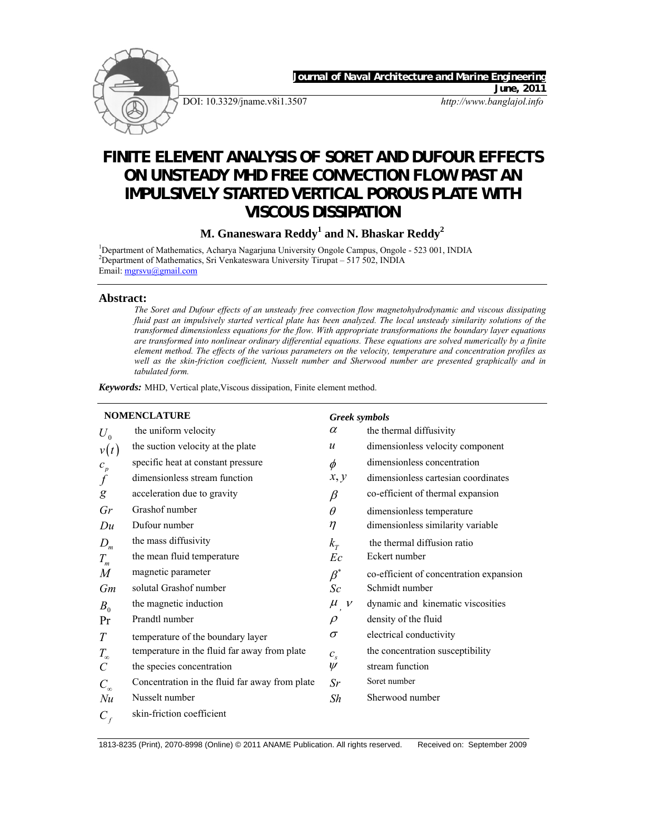

DOI: 10.3329/jname.v8i1.3507 *http://www.banglajol.info*

Journal of Naval Architecture and Marine Engine

*June, 2011* 

# **FINITE ELEMENT ANALYSIS OF SORET AND DUFOUR EFFECTS ON UNSTEADY MHD FREE CONVECTION FLOW PAST AN IMPULSIVELY STARTED VERTICAL POROUS PLATE WITH VISCOUS DISSIPATION**

**M. Gnaneswara Reddy<sup>1</sup> and N. Bhaskar Reddy<sup>2</sup>**

<sup>1</sup>Department of Mathematics, Acharya Nagarjuna University Ongole Campus, Ongole - 523 001, INDIA <sup>2</sup>Department of Mathematics, Sri Venkateswara University Tirupat – 517 502, INDIA Email: mgrsvu@gmail.com

## **Abstract:**

*The Soret and Dufour effects of an unsteady free convection flow magnetohydrodynamic and viscous dissipating fluid past an impulsively started vertical plate has been analyzed. The local unsteady similarity solutions of the transformed dimensionless equations for the flow. With appropriate transformations the boundary layer equations are transformed into nonlinear ordinary differential equations. These equations are solved numerically by a finite element method. The effects of the various parameters on the velocity, temperature and concentration profiles as well as the skin-friction coefficient, Nusselt number and Sherwood number are presented graphically and in tabulated form.* 

*Keywords:* MHD, Vertical plate,Viscous dissipation, Finite element method.

| <b>NOMENCLATURE</b>        |                                                |                        | <b>Greek</b> symbols                    |  |  |
|----------------------------|------------------------------------------------|------------------------|-----------------------------------------|--|--|
| $U_{\rm 0}$                | the uniform velocity                           | $\alpha$               | the thermal diffusivity                 |  |  |
| v(t)                       | the suction velocity at the plate              | $\mathcal{U}$          | dimensionless velocity component        |  |  |
| $c_p$                      | specific heat at constant pressure             | $\phi$                 | dimensionless concentration             |  |  |
| $\boldsymbol{f}$           | dimensionless stream function                  | x, y                   | dimensionless cartesian coordinates     |  |  |
| g                          | acceleration due to gravity                    | $\beta$                | co-efficient of thermal expansion       |  |  |
| Gr                         | Grashof number                                 | $\theta$               | dimensionless temperature               |  |  |
| Du                         | Dufour number                                  | $\eta$                 | dimensionless similarity variable       |  |  |
| $D_m$                      | the mass diffusivity                           | $k_{\tau}$             | the thermal diffusion ratio             |  |  |
| $T_{\scriptscriptstyle m}$ | the mean fluid temperature                     | Ec                     | Eckert number                           |  |  |
| M                          | magnetic parameter                             | $\overline{\beta}^*$   | co-efficient of concentration expansion |  |  |
| Gm                         | solutal Grashof number                         | Sc                     | Schmidt number                          |  |  |
| $B_0$                      | the magnetic induction                         | $\mu$<br>$\cdot$ , $V$ | dynamic and kinematic viscosities       |  |  |
| Pr                         | Prandtl number                                 | $\rho$                 | density of the fluid                    |  |  |
| $\boldsymbol{T}$           | temperature of the boundary layer              | $\sigma$               | electrical conductivity                 |  |  |
| $T_{\infty}$               | temperature in the fluid far away from plate   | $c_{s}$                | the concentration susceptibility        |  |  |
| $\mathcal{C}_{0}^{(n)}$    | the species concentration                      | $\psi$                 | stream function                         |  |  |
| $C_{\infty}$               | Concentration in the fluid far away from plate | Sr                     | Soret number                            |  |  |
| Nu                         | Nusselt number                                 | Sh                     | Sherwood number                         |  |  |
| $C_{f}$                    | skin-friction coefficient                      |                        |                                         |  |  |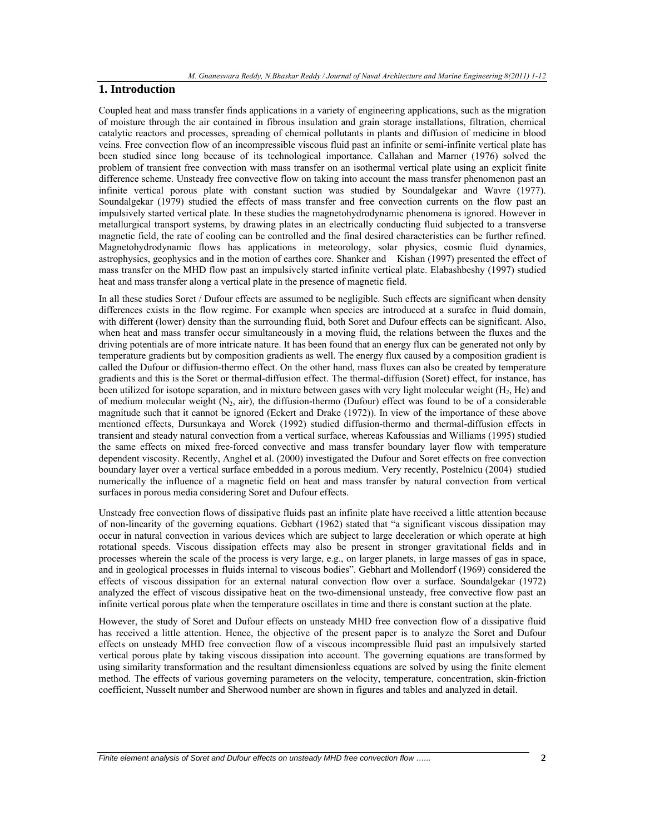# **1. Introduction**

Coupled heat and mass transfer finds applications in a variety of engineering applications, such as the migration of moisture through the air contained in fibrous insulation and grain storage installations, filtration, chemical catalytic reactors and processes, spreading of chemical pollutants in plants and diffusion of medicine in blood veins. Free convection flow of an incompressible viscous fluid past an infinite or semi-infinite vertical plate has been studied since long because of its technological importance. Callahan and Marner (1976) solved the problem of transient free convection with mass transfer on an isothermal vertical plate using an explicit finite difference scheme. Unsteady free convective flow on taking into account the mass transfer phenomenon past an infinite vertical porous plate with constant suction was studied by Soundalgekar and Wavre (1977). Soundalgekar (1979) studied the effects of mass transfer and free convection currents on the flow past an impulsively started vertical plate. In these studies the magnetohydrodynamic phenomena is ignored. However in metallurgical transport systems, by drawing plates in an electrically conducting fluid subjected to a transverse magnetic field, the rate of cooling can be controlled and the final desired characteristics can be further refined. Magnetohydrodynamic flows has applications in meteorology, solar physics, cosmic fluid dynamics, astrophysics, geophysics and in the motion of earthes core. Shanker and Kishan (1997) presented the effect of mass transfer on the MHD flow past an impulsively started infinite vertical plate. Elabashbeshy (1997) studied heat and mass transfer along a vertical plate in the presence of magnetic field.

In all these studies Soret / Dufour effects are assumed to be negligible. Such effects are significant when density differences exists in the flow regime. For example when species are introduced at a surafce in fluid domain, with different (lower) density than the surrounding fluid, both Soret and Dufour effects can be significant. Also, when heat and mass transfer occur simultaneously in a moving fluid, the relations between the fluxes and the driving potentials are of more intricate nature. It has been found that an energy flux can be generated not only by temperature gradients but by composition gradients as well. The energy flux caused by a composition gradient is called the Dufour or diffusion-thermo effect. On the other hand, mass fluxes can also be created by temperature gradients and this is the Soret or thermal-diffusion effect. The thermal-diffusion (Soret) effect, for instance, has been utilized for isotope separation, and in mixture between gases with very light molecular weight  $(H_2, He)$  and of medium molecular weight  $(N_2, \text{air})$ , the diffusion-thermo (Dufour) effect was found to be of a considerable magnitude such that it cannot be ignored (Eckert and Drake (1972)). In view of the importance of these above mentioned effects, Dursunkaya and Worek (1992) studied diffusion-thermo and thermal-diffusion effects in transient and steady natural convection from a vertical surface, whereas Kafoussias and Williams (1995) studied the same effects on mixed free-forced convective and mass transfer boundary layer flow with temperature dependent viscosity. Recently, Anghel et al. (2000) investigated the Dufour and Soret effects on free convection boundary layer over a vertical surface embedded in a porous medium. Very recently, Postelnicu (2004) studied numerically the influence of a magnetic field on heat and mass transfer by natural convection from vertical surfaces in porous media considering Soret and Dufour effects.

Unsteady free convection flows of dissipative fluids past an infinite plate have received a little attention because of non-linearity of the governing equations. Gebhart (1962) stated that "a significant viscous dissipation may occur in natural convection in various devices which are subject to large deceleration or which operate at high rotational speeds. Viscous dissipation effects may also be present in stronger gravitational fields and in processes wherein the scale of the process is very large, e.g., on larger planets, in large masses of gas in space, and in geological processes in fluids internal to viscous bodies". Gebhart and Mollendorf (1969) considered the effects of viscous dissipation for an external natural convection flow over a surface. Soundalgekar (1972) analyzed the effect of viscous dissipative heat on the two-dimensional unsteady, free convective flow past an infinite vertical porous plate when the temperature oscillates in time and there is constant suction at the plate.

However, the study of Soret and Dufour effects on unsteady MHD free convection flow of a dissipative fluid has received a little attention. Hence, the objective of the present paper is to analyze the Soret and Dufour effects on unsteady MHD free convection flow of a viscous incompressible fluid past an impulsively started vertical porous plate by taking viscous dissipation into account. The governing equations are transformed by using similarity transformation and the resultant dimensionless equations are solved by using the finite element method. The effects of various governing parameters on the velocity, temperature, concentration, skin-friction coefficient, Nusselt number and Sherwood number are shown in figures and tables and analyzed in detail.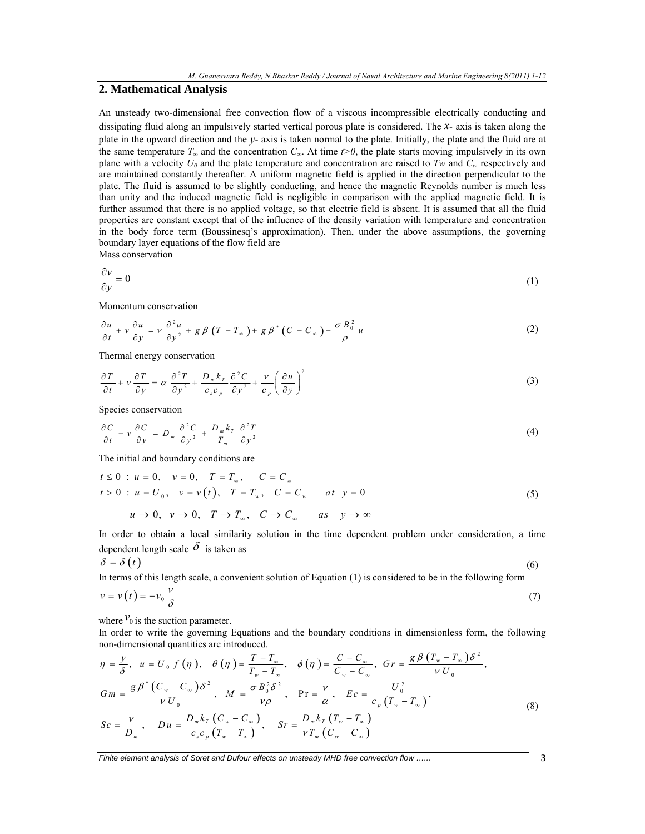## **2. Mathematical Analysis**

An unsteady two-dimensional free convection flow of a viscous incompressible electrically conducting and dissipating fluid along an impulsively started vertical porous plate is considered. The *x*- axis is taken along the plate in the upward direction and the *y*- axis is taken normal to the plate. Initially, the plate and the fluid are at the same temperature  $T_\infty$  and the concentration  $C_\infty$ . At time  $t>0$ , the plate starts moving impulsively in its own plane with a velocity  $U_0$  and the plate temperature and concentration are raised to *Tw* and  $C_w$  respectively and are maintained constantly thereafter. A uniform magnetic field is applied in the direction perpendicular to the plate. The fluid is assumed to be slightly conducting, and hence the magnetic Reynolds number is much less than unity and the induced magnetic field is negligible in comparison with the applied magnetic field. It is further assumed that there is no applied voltage, so that electric field is absent. It is assumed that all the fluid properties are constant except that of the influence of the density variation with temperature and concentration in the body force term (Boussinesq's approximation). Then, under the above assumptions, the governing boundary layer equations of the flow field are

Mass conservation

$$
\frac{\partial v}{\partial y} = 0 \tag{1}
$$

Momentum conservation

$$
\frac{\partial u}{\partial t} + v \frac{\partial u}{\partial y} = v \frac{\partial^2 u}{\partial y^2} + g \beta (T - T_{\infty}) + g \beta^* (C - C_{\infty}) - \frac{\sigma B_0^2}{\rho} u \tag{2}
$$

Thermal energy conservation

$$
\frac{\partial T}{\partial t} + v \frac{\partial T}{\partial y} = \alpha \frac{\partial^2 T}{\partial y^2} + \frac{D_m k_r}{c_s c_p} \frac{\partial^2 C}{\partial y^2} + \frac{v}{c_p} \left(\frac{\partial u}{\partial y}\right)^2 \tag{3}
$$

Species conservation

$$
\frac{\partial C}{\partial t} + v \frac{\partial C}{\partial y} = D_m \frac{\partial^2 C}{\partial y^2} + \frac{D_m k_r}{T_m} \frac{\partial^2 T}{\partial y^2}
$$
 (4)

The initial and boundary conditions are

$$
t \le 0: u = 0, \quad v = 0, \quad T = T_{\infty}, \quad C = C_{\infty}
$$
  
\n
$$
t > 0: u = U_0, \quad v = v(t), \quad T = T_{w}, \quad C = C_{w} \quad at \quad y = 0
$$
  
\n
$$
u \to 0, \quad v \to 0, \quad T \to T_{\infty}, \quad C \to C_{\infty} \quad as \quad y \to \infty
$$
\n(5)

In order to obtain a local similarity solution in the time dependent problem under consideration, a time dependent length scale  $\delta$  is taken as

$$
\delta = \delta \left( t \right) \tag{6}
$$

In terms of this length scale, a convenient solution of Equation (1) is considered to be in the following form

$$
v = v(t) = -v_0 \frac{v}{\delta} \tag{7}
$$

where  $v_0$  is the suction parameter.

In order to write the governing Equations and the boundary conditions in dimensionless form, the following non-dimensional quantities are introduced.

$$
\eta = \frac{y}{\delta}, \quad u = U_0 \ f(\eta), \quad \theta(\eta) = \frac{T - T_{\infty}}{T_{w} - T_{\infty}}, \quad \phi(\eta) = \frac{C - C_{\infty}}{C_{w} - C_{\infty}}, \quad Gr = \frac{g\beta\left(T_{w} - T_{\infty}\right)\delta^{2}}{V U_0},
$$
\n
$$
Gm = \frac{g\beta^{*}\left(C_{w} - C_{\infty}\right)\delta^{2}}{V U_0}, \quad M = \frac{\sigma B_0^2 \delta^{2}}{V \rho}, \quad \Pr = \frac{V}{\alpha}, \quad Ec = \frac{U_0^2}{c_{p}\left(T_{w} - T_{\infty}\right)},
$$
\n
$$
Sc = \frac{V}{D_{m}}, \quad Du = \frac{D_{m}k_{T}\left(C_{w} - C_{\infty}\right)}{c_{s}c_{p}\left(T_{w} - T_{\infty}\right)}, \quad Sr = \frac{D_{m}k_{T}\left(T_{w} - T_{\infty}\right)}{V T_{m}\left(C_{w} - C_{\infty}\right)}
$$
\n(8)

*Finite element analysis of Soret and Dufour effects on unsteady MHD free convection flow …...* **3**

 $\mathcal{L}_s \mathcal{L}_p \left( \mathcal{L}_w - \mathcal{L}_\infty \right)$   $V \mathcal{L}_m \left( \mathcal{L}_w \right)$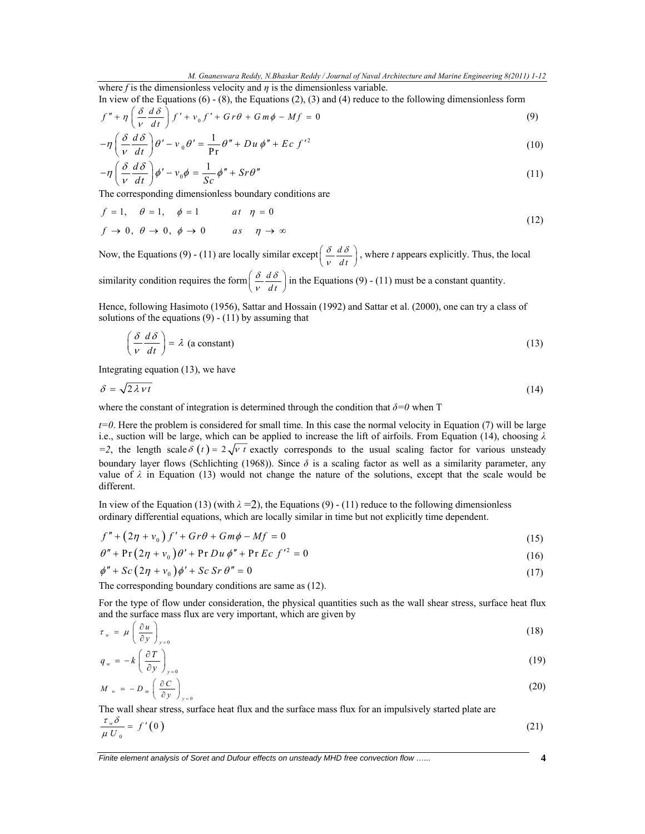where  $f$  is the dimensionless velocity and  $\eta$  is the dimensionless variable. In view of the Equations  $(6)$  -  $(8)$ , the Equations  $(2)$ ,  $(3)$  and  $(4)$  reduce to the following dimensionless form

$$
f'' + \eta \left( \frac{\delta}{\nu} \frac{d \delta}{dt} \right) f' + \nu_0 f' + G r \theta + G m \phi - M f = 0 \tag{9}
$$

$$
-\eta \left(\frac{\delta}{v}\frac{d\delta}{dt}\right)\theta' - v_0\theta' = \frac{1}{\rho r}\theta'' + Du\phi'' + Ec\ f'^2\tag{10}
$$

$$
-\eta \left(\frac{\delta}{v}\frac{d\delta}{dt}\right)\phi' - v_0\phi = \frac{1}{Sc}\phi'' + Sr\theta''\tag{11}
$$

The corresponding dimensionless boundary conditions are

$$
f = 1, \quad \theta = 1, \quad \phi = 1 \qquad at \quad \eta = 0
$$
  

$$
f \to 0, \quad \theta \to 0, \quad \phi \to 0 \qquad as \quad \eta \to \infty
$$
 (12)

Now, the Equations (9) - (11) are locally similar except  $\left(\frac{\delta}{v}\frac{d\delta}{dt}\right)$ δ δ  $\left(\frac{\delta}{v} \frac{d\delta}{dt}\right)$ , where *t* appears explicitly. Thus, the local

similarity condition requires the form  $\left(\frac{\delta}{v}\frac{d\delta}{dt}\right)$ δ δ  $\left(\frac{\delta}{v}\frac{d\delta}{dt}\right)$  in the Equations (9) - (11) must be a constant quantity.

Hence, following Hasimoto (1956), Sattar and Hossain (1992) and Sattar et al. (2000), one can try a class of solutions of the equations  $(9) - (11)$  by assuming that

$$
\left(\frac{\delta}{v}\frac{d\delta}{dt}\right) = \lambda \text{ (a constant)}\tag{13}
$$

Integrating equation (13), we have

$$
\delta = \sqrt{2\lambda vt} \tag{14}
$$

where the constant of integration is determined through the condition that  $\delta = 0$  when T

*t=0*. Here the problem is considered for small time. In this case the normal velocity in Equation (7) will be large i.e., suction will be large, which can be applied to increase the lift of airfoils. From Equation (14), choosing *λ =2*, the length scale  $\delta(t) = 2\sqrt{vt}$  exactly corresponds to the usual scaling factor for various unsteady boundary layer flows (Schlichting (1968)). Since *δ* is a scaling factor as well as a similarity parameter, any value of  $\lambda$  in Equation (13) would not change the nature of the solutions, except that the scale would be different.

In view of the Equation (13) (with  $\lambda = 2$ ), the Equations (9) - (11) reduce to the following dimensionless ordinary differential equations, which are locally similar in time but not explicitly time dependent.

$$
f'' + (2\eta + v_0)f' + Gr\theta + Gm\phi - Mf = 0
$$
\n(15)

$$
\theta'' + \Pr(2\eta + \nu_0)\theta' + \Pr Du \phi'' + \Pr Ec f'^2 = 0
$$
\n(16)

$$
\phi'' + Sc\left(2\eta + v_0\right)\phi' + Sc\,Sr\,\theta'' = 0\tag{17}
$$

The corresponding boundary conditions are same as (12).

For the type of flow under consideration, the physical quantities such as the wall shear stress, surface heat flux and the surface mass flux are very important, which are given by

$$
\tau_{w} = \mu \left( \frac{\partial u}{\partial y} \right)_{y=0} \tag{18}
$$

$$
q_w = -k \left( \frac{\partial T}{\partial y} \right)_{y=0} \tag{19}
$$

$$
M_{w} = -D_{m} \left( \frac{\partial C}{\partial y} \right)_{y=0}
$$
 (20)

The wall shear stress, surface heat flux and the surface mass flux for an impulsively started plate are <sup>τ</sup> δ

$$
\frac{\tau_w \sigma}{\mu U_0} = f'(0) \tag{21}
$$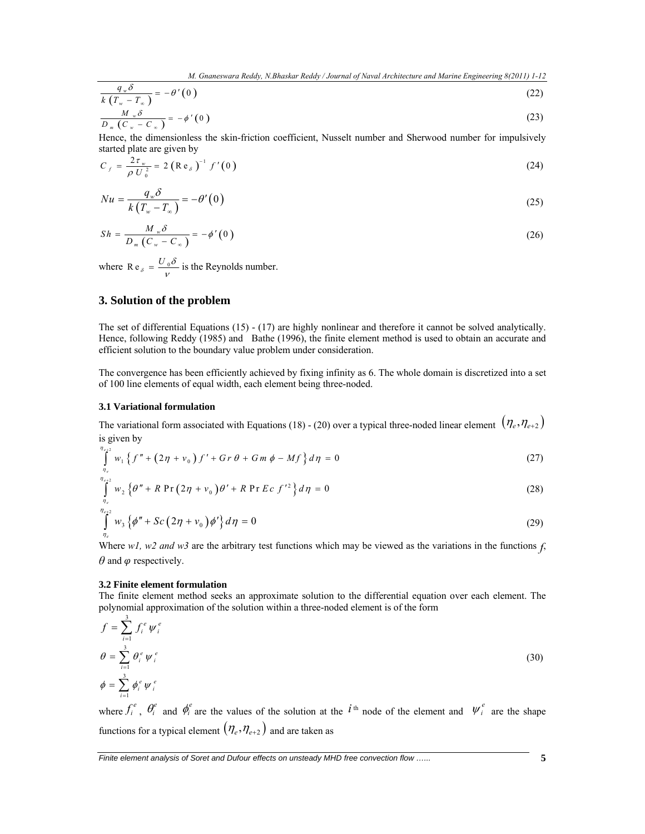$$
\frac{q_{w}\delta}{k(T_{w}-T_{\infty})} = -\theta'(0)
$$
\n
$$
\frac{M_{w}\delta}{D_{m}(C_{w}-C_{\infty})} = -\phi'(0)
$$
\n(23)

$$
D_m (C_w - C_w)
$$
  
Hence, the dimensionless the skin-fiction coefficient, Nusselt number and Sherwood number for impulsively  
extracted plate are given by

$$
C_f = \frac{2\tau_w}{\rho U_0^2} = 2 (Re_\delta)^{-1} f'(0)
$$
 (24)

$$
Nu = \frac{q_w \delta}{k(T_w - T_\infty)} = -\theta'(0)
$$
\n(25)

$$
Sh = \frac{M_w \delta}{D_m (C_w - C_w)} = -\phi'(0)
$$
\n(26)

where R e<sub>s</sub> =  $\frac{U_0 \delta}{V}$  is the Reynolds number.

# **3. Solution of the problem**

The set of differential Equations (15) - (17) are highly nonlinear and therefore it cannot be solved analytically. Hence, following Reddy (1985) and Bathe (1996), the finite element method is used to obtain an accurate and efficient solution to the boundary value problem under consideration.

The convergence has been efficiently achieved by fixing infinity as 6. The whole domain is discretized into a set of 100 line elements of equal width, each element being three-noded.

#### **3.1 Variational formulation**

The variational form associated with Equations (18) - (20) over a typical three-noded linear element  $(\eta_e, \eta_{e+2})$ is given by

$$
\int_{\eta_e}^{\eta_{e+2}} w_1 \left\{ f'' + (2\eta + v_0) f' + Gr \theta + Gm \phi - Mf \right\} d\eta = 0
$$
 (27)

$$
\int_{\eta_e}^{\eta_{e+2}} w_2 \left\{ \theta'' + R \Pr \left( 2\eta + v_0 \right) \theta' + R \Pr E c \ f'^2 \right\} d\eta = 0 \tag{28}
$$

$$
\int_{\eta_e}^{\eta_{e+2}} w_3 \left\{ \phi'' + Sc \left( 2\eta + v_0 \right) \phi' \right\} d\eta = 0 \tag{29}
$$

Where *w1, w2 and w3* are the arbitrary test functions which may be viewed as the variations in the functions *f*,  $\theta$  and  $\varphi$  respectively.

#### **3.2 Finite element formulation**

The finite element method seeks an approximate solution to the differential equation over each element. The polynomial approximation of the solution within a three-noded element is of the form 3

$$
f = \sum_{i=1}^{n} f_i^e \psi_i^e
$$
  
\n
$$
\theta = \sum_{i=1}^{3} \theta_i^e \psi_i^e
$$
  
\n
$$
\phi = \sum_{i=1}^{3} \phi_i^e \psi_i^e
$$
  
\n(30)

where  $f_i^e$ ,  $\theta_i^e$  and  $\phi_i^e$  are the values of the solution at the *i*<sup>th</sup> node of the element and  $\psi_i^e$  are the shape functions for a typical element  $(\eta_e, \eta_{e+2})$  and are taken as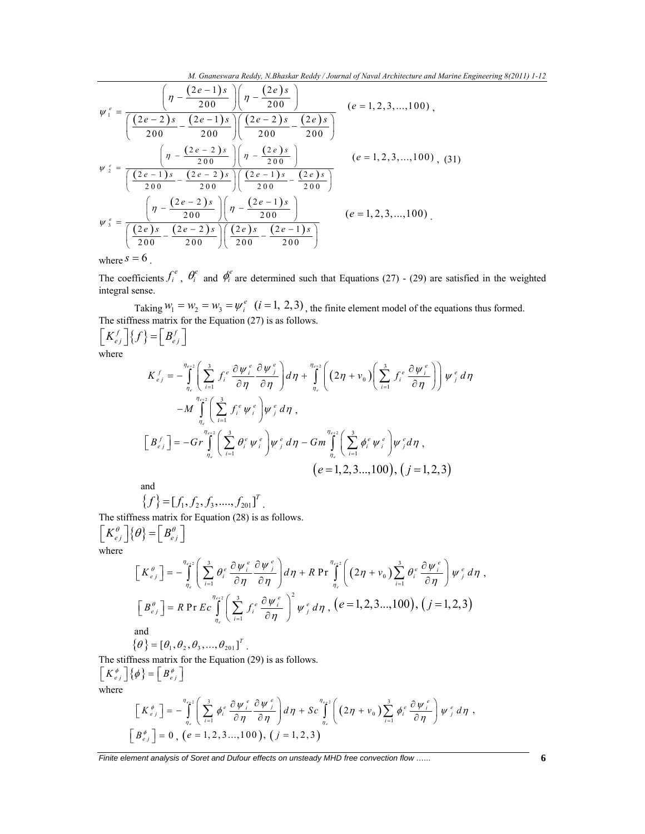*M. Gnaneswara Reddy, N.Bhaskar Reddy / Journal of Naval Architecture and Marine Engineering 8(2011) 1-12* 

$$
\psi_{1}^{e} = \frac{\left(\eta - \frac{(2e-1)s}{200}\right)\left(\eta - \frac{(2e)s}{200}\right)}{\left(\frac{(2e-2)s}{200} - \frac{(2e-1)s}{200}\right)\left(\frac{(2e-2)s}{200} - \frac{(2e)s}{200}\right)} \quad (e = 1, 2, 3, ..., 100),
$$
\n
$$
\psi_{2}^{e} = \frac{\left(\eta - \frac{(2e-2)s}{200}\right)\left(\eta - \frac{(2e)s}{200}\right)}{\left(\frac{(2e-1)s}{200} - \frac{(2e-2)s}{200}\right)\left(\frac{(2e-1)s}{200} - \frac{(2e)s}{200}\right)} \quad (e = 1, 2, 3, ..., 100), (31)
$$
\n
$$
\psi_{3}^{e} = \frac{\left(\eta - \frac{(2e-2)s}{200}\right)\left(\eta - \frac{(2e-1)s}{200}\right)}{\left(\frac{(2e)s}{200} - \frac{(2e-2)s}{200}\right)\left(\frac{(2e)s}{200} - \frac{(2e-1)s}{200}\right)} \quad (e = 1, 2, 3, ..., 100),
$$
\nwhere  $s = 6$ .

The coefficients  $f_i^e$ ,  $\theta_i^e$  and  $\phi_i^e$  are determined such that Equations (27) - (29) are satisfied in the weighted integral sense.

Taking  $W_1 = W_2 = W_3 = \psi_i^e$  (*i* = 1, 2, 3), the finite element model of the equations thus formed. The stiffness matrix for the Equation (27) is as follows.  $\left[K_{ej}^{f}\right]\left\{f\right\}=\left[B_{ej}^{f}\right]$ 

where

$$
K_{ej}^{f} = -\int_{\eta_{e}}^{\eta_{e+2}} \left( \sum_{i=1}^{3} f_{i}^{e} \frac{\partial \psi_{i}^{e}}{\partial \eta} \frac{\partial \psi_{j}^{e}}{\partial \eta} \right) d\eta + \int_{\eta_{e}}^{\eta_{e+2}} \left( (2\eta + v_{0}) \left( \sum_{i=1}^{3} f_{i}^{e} \frac{\partial \psi_{i}^{e}}{\partial \eta} \right) \right) \psi_{j}^{e} d\eta
$$
  
-M 
$$
\int_{\eta_{e}}^{\eta_{e+2}} \left( \sum_{i=1}^{3} f_{i}^{e} \psi_{i}^{e} \right) \psi_{j}^{e} d\eta,
$$
  

$$
\left[ B_{ej}^{f} \right] = -Gr \int_{\eta_{e}}^{\eta_{e+2}} \left( \sum_{i=1}^{3} \theta_{i}^{e} \psi_{i}^{e} \right) \psi_{j}^{e} d\eta - Gm \int_{\eta_{e}}^{\eta_{e+2}} \left( \sum_{i=1}^{3} \phi_{i}^{e} \psi_{i}^{e} \right) \psi_{j}^{e} d\eta,
$$
  

$$
(e = 1, 2, 3..., 100), (j = 1, 2, 3)
$$

and

$$
\{f\} = [f_1, f_2, f_3, \dots, f_{201}]^T
$$

The stiffness matrix for Equation (28) is as follows.  $\left[K_{e_j}^{\theta}\right]\!\left\{\theta\right\} =\!\left[B_{e_j}^{\theta}\right]$ 

where

$$
\begin{aligned}\n\left[K_{e_j}^{\theta}\right] &= -\int_{\eta_e}^{\eta_{e+2}} \left( \sum_{i=1}^3 \theta_i^e \frac{\partial \psi_i^e}{\partial \eta} \frac{\partial \psi_i^e}{\partial \eta} \right) d\eta + R \Pr \int_{\eta_e}^{\eta_{e+2}} \left( \left(2\eta + v_0\right) \sum_{i=1}^3 \theta_i^e \frac{\partial \psi_i^e}{\partial \eta} \right) \psi_j^e d\eta \right), \\
\left[B_{e_j}^{\theta}\right] &= R \Pr E c \int_{\eta_e}^{\eta_{e+2}} \left( \sum_{i=1}^3 f_i^e \frac{\partial \psi_i^e}{\partial \eta} \right)^2 \psi_j^e d\eta \right), \quad (e = 1, 2, 3, \dots, 100), \quad (j = 1, 2, 3)\n\end{aligned}
$$
\nand\n
$$
\{\theta\} = [\theta_1, \theta_2, \theta_3, \dots, \theta_{201}]^T.
$$

The stiffness matrix for the Equation (29) is as follows.  $\begin{bmatrix} K e_j \end{bmatrix} \phi \} = \begin{bmatrix} B e_j \end{bmatrix}$ where

$$
\begin{aligned}\n\left[K_{e_j}^{\phi}\right] &= -\int_{\eta_e}^{\eta_{e+2}} \left( \sum_{i=1}^3 \phi_i^e \frac{\partial \psi_i^e}{\partial \eta} \frac{\partial \psi_j^e}{\partial \eta} \right) d\eta + Sc \int_{\eta_e}^{\eta_{e+2}} \left( \left(2\eta + v_0\right) \sum_{i=1}^3 \phi_i^e \frac{\partial \psi_i^e}{\partial \eta} \right) \psi_j^e d\eta \, , \\
\left[B_{e_j}^{\phi}\right] &= 0 \, , \, (e = 1, 2, 3 \, \dots, 100 \, ), \, (j = 1, 2, 3)\n\end{aligned}
$$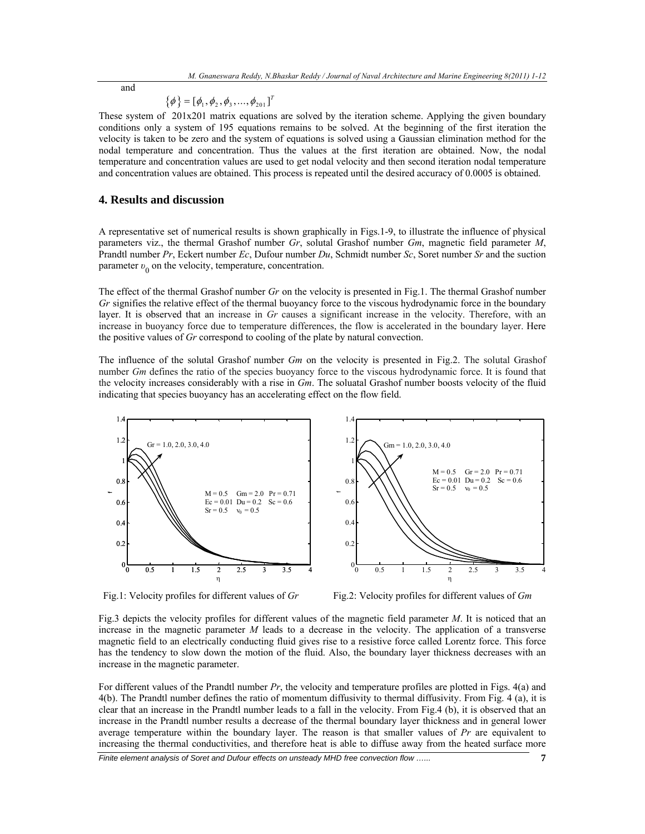and

$$
\{\boldsymbol{\phi}\} = [\phi_1, \phi_2, \phi_3, ..., \phi_{201}]^T
$$

These system of 201x201 matrix equations are solved by the iteration scheme. Applying the given boundary conditions only a system of 195 equations remains to be solved. At the beginning of the first iteration the velocity is taken to be zero and the system of equations is solved using a Gaussian elimination method for the nodal temperature and concentration. Thus the values at the first iteration are obtained. Now, the nodal temperature and concentration values are used to get nodal velocity and then second iteration nodal temperature and concentration values are obtained. This process is repeated until the desired accuracy of 0.0005 is obtained.

#### **4. Results and discussion**

A representative set of numerical results is shown graphically in Figs.1-9, to illustrate the influence of physical parameters viz., the thermal Grashof number *Gr*, solutal Grashof number *Gm*, magnetic field parameter *M*, Prandtl number *Pr*, Eckert number *Ec*, Dufour number *Du*, Schmidt number *Sc*, Soret number *Sr* and the suction parameter *v*<sub>0</sub> on the velocity, temperature, concentration.

The effect of the thermal Grashof number *Gr* on the velocity is presented in Fig.1. The thermal Grashof number *Gr* signifies the relative effect of the thermal buoyancy force to the viscous hydrodynamic force in the boundary layer. It is observed that an increase in *Gr* causes a significant increase in the velocity. Therefore, with an increase in buoyancy force due to temperature differences, the flow is accelerated in the boundary layer. Here the positive values of *Gr* correspond to cooling of the plate by natural convection.

The influence of the solutal Grashof number *Gm* on the velocity is presented in Fig.2. The solutal Grashof number *Gm* defines the ratio of the species buoyancy force to the viscous hydrodynamic force. It is found that the velocity increases considerably with a rise in *Gm*. The soluatal Grashof number boosts velocity of the fluid indicating that species buoyancy has an accelerating effect on the flow field.



Fig.1: Velocity profiles for different values of *Gr* Fig.2: Velocity profiles for different values of *Gm* 



Fig.3 depicts the velocity profiles for different values of the magnetic field parameter *M*. It is noticed that an increase in the magnetic parameter *M* leads to a decrease in the velocity. The application of a transverse magnetic field to an electrically conducting fluid gives rise to a resistive force called Lorentz force. This force has the tendency to slow down the motion of the fluid. Also, the boundary layer thickness decreases with an increase in the magnetic parameter.

For different values of the Prandtl number *Pr*, the velocity and temperature profiles are plotted in Figs. 4(a) and 4(b). The Prandtl number defines the ratio of momentum diffusivity to thermal diffusivity. From Fig. 4 (a), it is clear that an increase in the Prandtl number leads to a fall in the velocity. From Fig.4 (b), it is observed that an increase in the Prandtl number results a decrease of the thermal boundary layer thickness and in general lower average temperature within the boundary layer. The reason is that smaller values of *Pr* are equivalent to increasing the thermal conductivities, and therefore heat is able to diffuse away from the heated surface more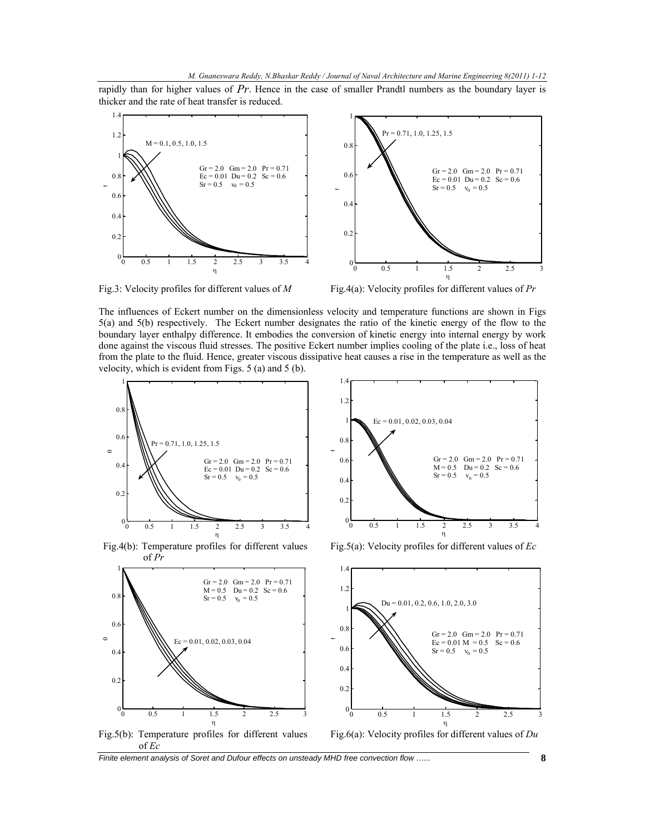rapidly than for higher values of *Pr*. Hence in the case of smaller Prandtl numbers as the boundary layer is thicker and the rate of heat transfer is reduced.





The influences of Eckert number on the dimensionless velocity and temperature functions are shown in Figs 5(a) and 5(b) respectively. The Eckert number designates the ratio of the kinetic energy of the flow to the boundary layer enthalpy difference. It embodies the conversion of kinetic energy into internal energy by work done against the viscous fluid stresses. The positive Eckert number implies cooling of the plate i.e., loss of heat from the plate to the fluid. Hence, greater viscous dissipative heat causes a rise in the temperature as well as the velocity, which is evident from Figs. 5 (a) and 5 (b).



Fig.4(b): Temperature profiles for different values of *Pr*



Fig.5(a): Velocity profiles for different values of *Ec*

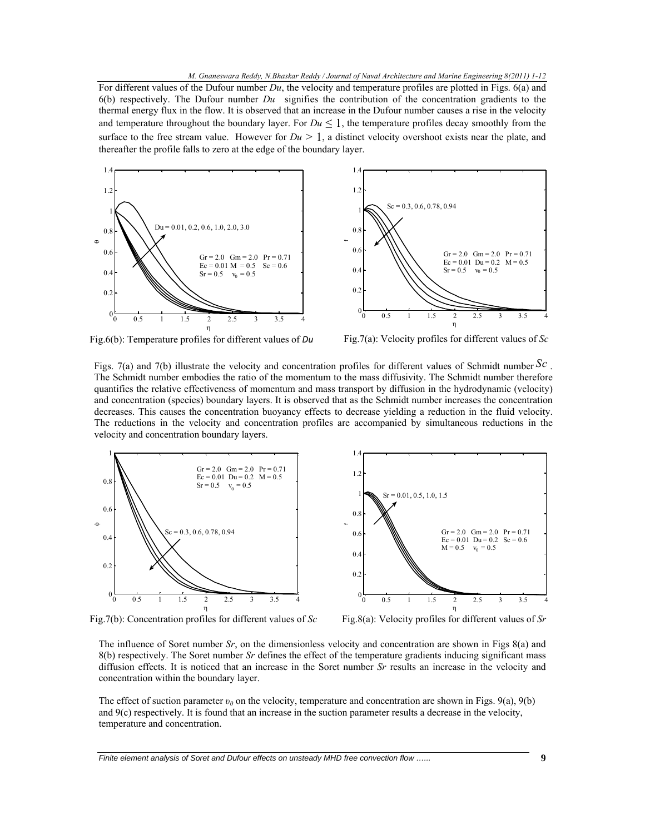#### *M. Gnaneswara Reddy, N.Bhaskar Reddy / Journal of Naval Architecture and Marine Engineering 8(2011) 1-12*

For different values of the Dufour number *Du*, the velocity and temperature profiles are plotted in Figs. 6(a) and 6(b) respectively. The Dufour number *Du* signifies the contribution of the concentration gradients to the thermal energy flux in the flow. It is observed that an increase in the Dufour number causes a rise in the velocity and temperature throughout the boundary layer. For  $Du \leq 1$ , the temperature profiles decay smoothly from the surface to the free stream value. However for  $Du > 1$ , a distinct velocity overshoot exists near the plate, and thereafter the profile falls to zero at the edge of the boundary layer.





Fig.6(b): Temperature profiles for different values of *Du* Fig.7(a): Velocity profiles for different values of *Sc*

Figs. 7(a) and 7(b) illustrate the velocity and concentration profiles for different values of Schmidt number *Sc* . The Schmidt number embodies the ratio of the momentum to the mass diffusivity. The Schmidt number therefore quantifies the relative effectiveness of momentum and mass transport by diffusion in the hydrodynamic (velocity) and concentration (species) boundary layers. It is observed that as the Schmidt number increases the concentration decreases. This causes the concentration buoyancy effects to decrease yielding a reduction in the fluid velocity. The reductions in the velocity and concentration profiles are accompanied by simultaneous reductions in the velocity and concentration boundary layers.



Fig.7(b): Concentration profiles for different values of *Sc* Fig.8(a): Velocity profiles for different values of *Sr*



The influence of Soret number *Sr*, on the dimensionless velocity and concentration are shown in Figs 8(a) and 8(b) respectively. The Soret number *Sr* defines the effect of the temperature gradients inducing significant mass diffusion effects. It is noticed that an increase in the Soret number *Sr* results an increase in the velocity and concentration within the boundary layer.

The effect of suction parameter *υ0* on the velocity, temperature and concentration are shown in Figs. 9(a), 9(b) and 9(c) respectively. It is found that an increase in the suction parameter results a decrease in the velocity, temperature and concentration.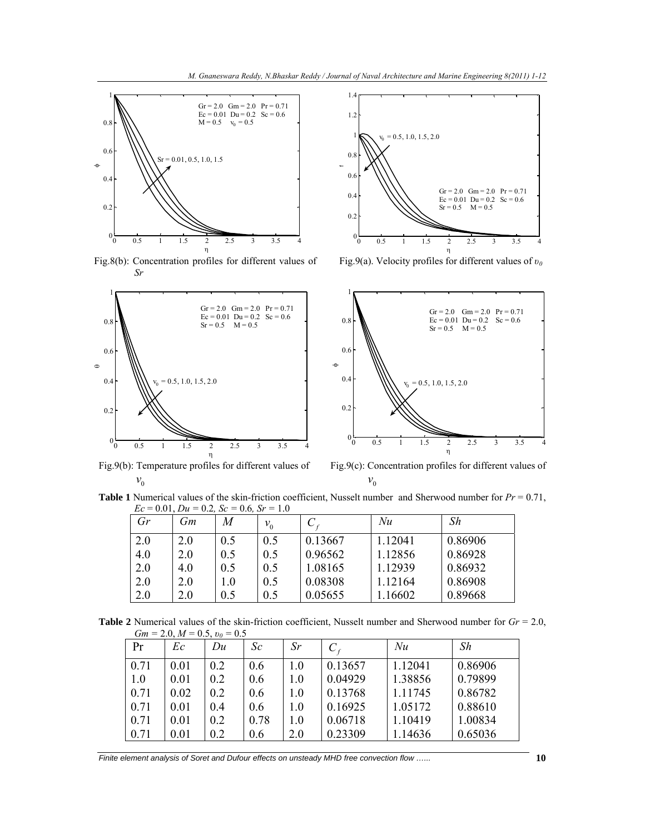

Fig.8(b): Concentration profiles for different values of *Sr*





Fig.9(a). Velocity profiles for different values of *υ<sup>0</sup>*



Fig.9(b): Temperature profiles for different values of  $v_{0}$ 

Fig.9(c): Concentration profiles for different values of  $v_{0}$ 

**Table 1** Numerical values of the skin-friction coefficient, Nusselt number and Sherwood number for *Pr* = 0.71,  $Ec = 0.01, Du = 0.2, Sc = 0.6, Sr = 1.0$ 

| $\mathfrak{G}r$ | Gm  | M   | $v_{0}$ |         | Nu      | Sh      |
|-----------------|-----|-----|---------|---------|---------|---------|
| 2.0             | 2.0 | 0.5 | 0.5     | 0.13667 | 1.12041 | 0.86906 |
| 4.0             | 2.0 | 0.5 | 0.5     | 0.96562 | 1.12856 | 0.86928 |
| 2.0             | 4.0 | 0.5 | 0.5     | 1.08165 | 1.12939 | 0.86932 |
| 2.0             | 2.0 | 1.0 | 0.5     | 0.08308 | 1.12164 | 0.86908 |
| 2.0             | 2.0 | 0.5 | 0.5     | 0.05655 | .16602  | 0.89668 |

**Table 2** Numerical values of the skin-friction coefficient, Nusselt number and Sherwood number for *Gr* = 2.0,  $Gm = 2.0, M = 0.5, v_0 = 0.5$ 

| Pr   | Ec   | Du  | Sc   | Sr  |         | Nu      | Sh      |
|------|------|-----|------|-----|---------|---------|---------|
| 0.71 | 0.01 | 0.2 | 0.6  | 1.0 | 0.13657 | 1.12041 | 0.86906 |
| 1.0  | 0.01 | 0.2 | 0.6  | 1.0 | 0.04929 | 1.38856 | 0.79899 |
| 0.71 | 0.02 | 0.2 | 0.6  | 1.0 | 0.13768 | 1.11745 | 0.86782 |
| 0.71 | 0.01 | 0.4 | 0.6  | 1.0 | 0.16925 | 1.05172 | 0.88610 |
| 0.71 | 0.01 | 0.2 | 0.78 | 1.0 | 0.06718 | 1.10419 | 1.00834 |
| 0.71 | 0.01 | 0.2 | 0.6  | 2.0 | 0.23309 | 1.14636 | 0.65036 |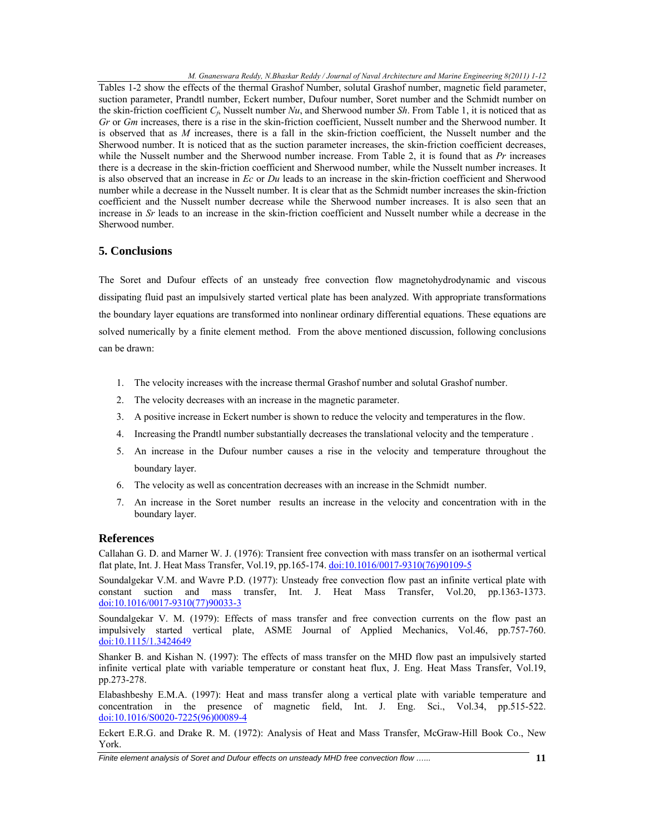Tables 1-2 show the effects of the thermal Grashof Number, solutal Grashof number, magnetic field parameter, suction parameter, Prandtl number, Eckert number, Dufour number, Soret number and the Schmidt number on the skin-friction coefficient  $C_f$ , Nusselt number *Nu*, and Sherwood number *Sh*. From Table 1, it is noticed that as *Gr* or *Gm* increases, there is a rise in the skin-friction coefficient, Nusselt number and the Sherwood number. It is observed that as *M* increases, there is a fall in the skin-friction coefficient, the Nusselt number and the Sherwood number. It is noticed that as the suction parameter increases, the skin-friction coefficient decreases, while the Nusselt number and the Sherwood number increase. From Table 2, it is found that as *Pr* increases there is a decrease in the skin-friction coefficient and Sherwood number, while the Nusselt number increases. It is also observed that an increase in *Ec* or *Du* leads to an increase in the skin-friction coefficient and Sherwood number while a decrease in the Nusselt number. It is clear that as the Schmidt number increases the skin-friction coefficient and the Nusselt number decrease while the Sherwood number increases. It is also seen that an increase in *Sr* leads to an increase in the skin-friction coefficient and Nusselt number while a decrease in the Sherwood number.

## **5. Conclusions**

The Soret and Dufour effects of an unsteady free convection flow magnetohydrodynamic and viscous dissipating fluid past an impulsively started vertical plate has been analyzed. With appropriate transformations the boundary layer equations are transformed into nonlinear ordinary differential equations. These equations are solved numerically by a finite element method. From the above mentioned discussion, following conclusions can be drawn:

- 1. The velocity increases with the increase thermal Grashof number and solutal Grashof number.
- 2. The velocity decreases with an increase in the magnetic parameter.
- 3. A positive increase in Eckert number is shown to reduce the velocity and temperatures in the flow.
- 4. Increasing the Prandtl number substantially decreases the translational velocity and the temperature .
- 5. An increase in the Dufour number causes a rise in the velocity and temperature throughout the boundary layer.
- 6. The velocity as well as concentration decreases with an increase in the Schmidt number.
- 7. An increase in the Soret number results an increase in the velocity and concentration with in the boundary layer.

## **References**

Callahan G. D. and Marner W. J. (1976): Transient free convection with mass transfer on an isothermal vertical flat plate, Int. J. Heat Mass Transfer, Vol.19, pp.165-174. doi:10.1016/0017-9310(76)90109-5

Soundalgekar V.M. and Wavre P.D. (1977): Unsteady free convection flow past an infinite vertical plate with constant suction and mass transfer, Int. J. Heat Mass Transfer, Vol.20, pp.1363-1373. doi:10.1016/0017-9310(77)90033-3

Soundalgekar V. M. (1979): Effects of mass transfer and free convection currents on the flow past an impulsively started vertical plate, ASME Journal of Applied Mechanics, Vol.46, pp.757-760. doi:10.1115/1.3424649

Shanker B. and Kishan N. (1997): The effects of mass transfer on the MHD flow past an impulsively started infinite vertical plate with variable temperature or constant heat flux, J. Eng. Heat Mass Transfer, Vol.19, pp.273-278.

Elabashbeshy E.M.A. (1997): Heat and mass transfer along a vertical plate with variable temperature and concentration in the presence of magnetic field, Int. J. Eng. Sci., Vol.34, pp.515-522. doi:10.1016/S0020-7225(96)00089-4

Eckert E.R.G. and Drake R. M. (1972): Analysis of Heat and Mass Transfer, McGraw-Hill Book Co., New York.